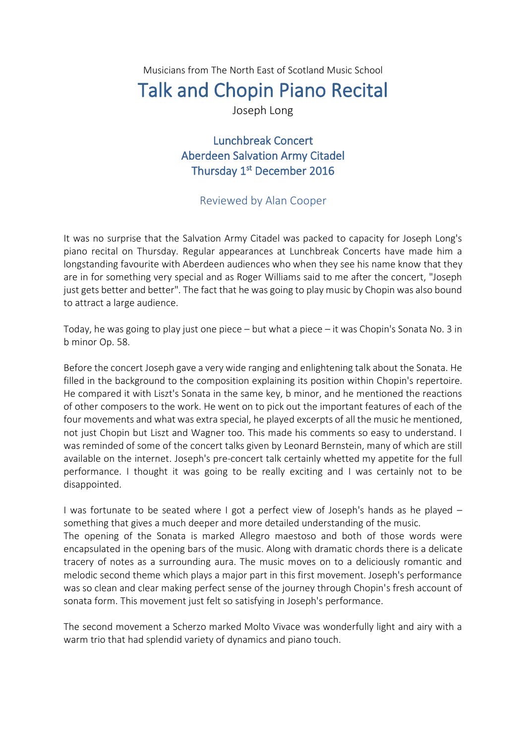Musicians from The North East of Scotland Music School

## Talk and Chopin Piano Recital

Joseph Long

Lunchbreak Concert Aberdeen Salvation Army Citadel Thursday 1<sup>st</sup> December 2016

## Reviewed by Alan Cooper

It was no surprise that the Salvation Army Citadel was packed to capacity for Joseph Long's piano recital on Thursday. Regular appearances at Lunchbreak Concerts have made him a longstanding favourite with Aberdeen audiences who when they see his name know that they are in for something very special and as Roger Williams said to me after the concert, "Joseph just gets better and better". The fact that he was going to play music by Chopin was also bound to attract a large audience.

Today, he was going to play just one piece – but what a piece – it was Chopin's Sonata No. 3 in b minor Op. 58.

Before the concert Joseph gave a very wide ranging and enlightening talk about the Sonata. He filled in the background to the composition explaining its position within Chopin's repertoire. He compared it with Liszt's Sonata in the same key, b minor, and he mentioned the reactions of other composers to the work. He went on to pick out the important features of each of the four movements and what was extra special, he played excerpts of all the music he mentioned, not just Chopin but Liszt and Wagner too. This made his comments so easy to understand. I was reminded of some of the concert talks given by Leonard Bernstein, many of which are still available on the internet. Joseph's pre-concert talk certainly whetted my appetite for the full performance. I thought it was going to be really exciting and I was certainly not to be disappointed.

I was fortunate to be seated where I got a perfect view of Joseph's hands as he played – something that gives a much deeper and more detailed understanding of the music. The opening of the Sonata is marked Allegro maestoso and both of those words were encapsulated in the opening bars of the music. Along with dramatic chords there is a delicate tracery of notes as a surrounding aura. The music moves on to a deliciously romantic and melodic second theme which plays a major part in this first movement. Joseph's performance was so clean and clear making perfect sense of the journey through Chopin's fresh account of sonata form. This movement just felt so satisfying in Joseph's performance.

The second movement a Scherzo marked Molto Vivace was wonderfully light and airy with a warm trio that had splendid variety of dynamics and piano touch.